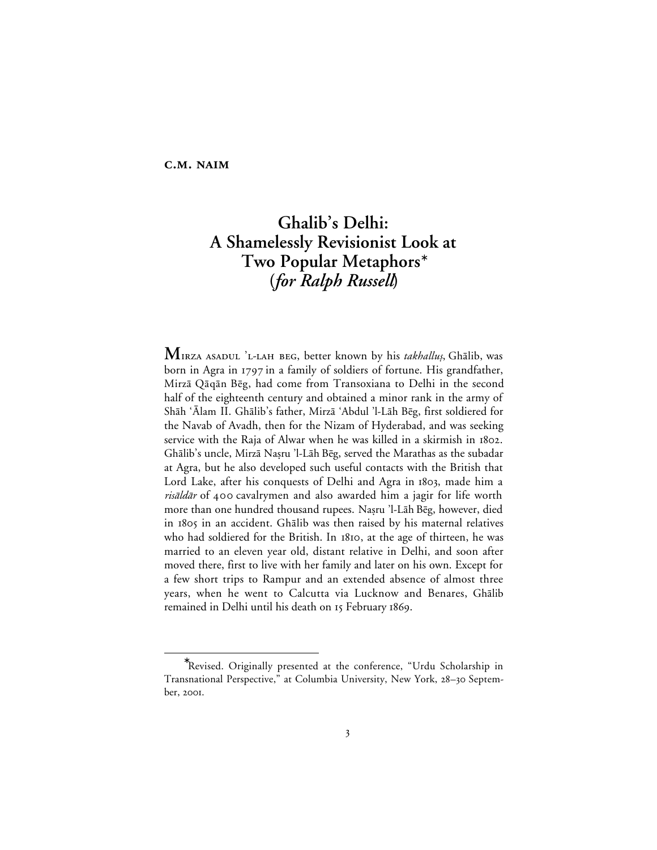## C.M. NAIM

# **Ghalib's Delhi: A Shamelessly Revisionist Look at Two Popular Metaphors**<sup>∗</sup> **(***for Ralph Russell***)**

**M** IRZA ASADUL 'L-LAH BEG, better known by his takhalluş, Ghālib, was born in Agra in 1797 in a family of soldiers of fortune. His grandfather, Mirzā Qāqān Bēg, had come from Transoxiana to Delhi in the second half of the eighteenth century and obtained a minor rank in the army of Shāh 'Ālam II. Ghālib's father, Mirzā 'Abdul 'l-Lāh Bēg, first soldiered for the Navab of Avadh, then for the Nizam of Hyderabad, and was seeking service with the Raja of Alwar when he was killed in a skirmish in 1802. Ghālib's uncle, Mirzā Naṣru 'l-Lāh Bēg, served the Marathas as the subadar at Agra, but he also developed such useful contacts with the British that Lord Lake, after his conquests of Delhi and Agra in 1803, made him a risāldār of 400 cavalrymen and also awarded him a jagir for life worth more than one hundred thousand rupees. Nasru 'l-Lāh Bēg, however, died in 1805 in an accident. Ghālib was then raised by his maternal relatives who had soldiered for the British. In 1810, at the age of thirteen, he was married to an eleven year old, distant relative in Delhi, and soon after moved there, first to live with her family and later on his own. Except for a few short trips to Rampur and an extended absence of almost three years, when he went to Calcutta via Lucknow and Benares, Ghalib remained in Delhi until his death on 15 February 1869.

<sup>∗</sup> Revised. Originally presented at the conference, "Urdu Scholarship in Transnational Perspective," at Columbia University, New York, 28-30 September, 2001.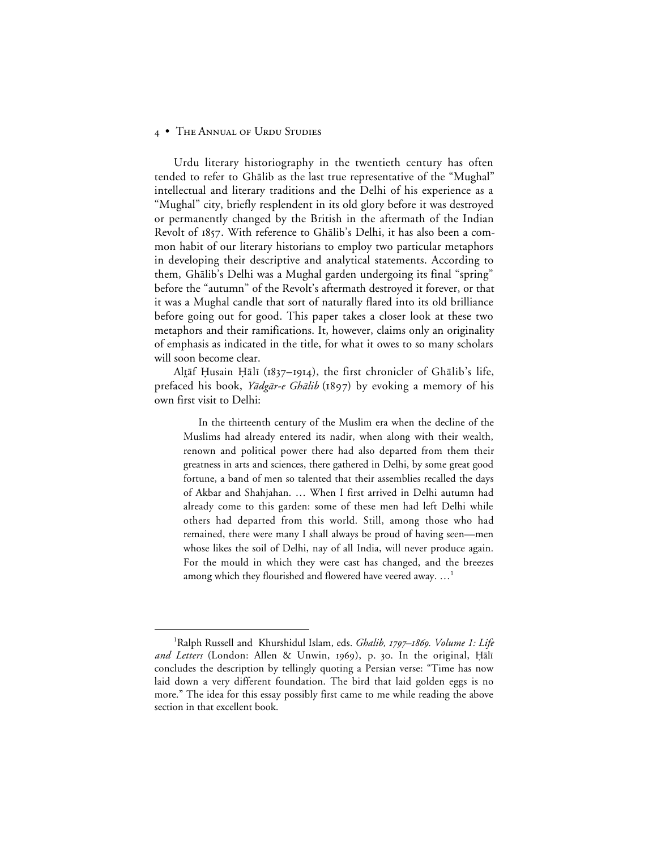Urdu literary historiography in the twentieth century has often tended to refer to Ghalib as the last true representative of the "Mughal" intellectual and literary traditions and the Delhi of his experience as a "Mughal" city, briefly resplendent in its old glory before it was destroyed or permanently changed by the British in the aftermath of the Indian Revolt of 1857. With reference to Ghalib's Delhi, it has also been a common habit of our literary historians to employ two particular metaphors in developing their descriptive and analytical statements. According to them, Ghālib's Delhi was a Mughal garden undergoing its final "spring" before the "autumn" of the Revolt's aftermath destroyed it forever, or that it was a Mughal candle that sort of naturally flared into its old brilliance before going out for good. This paper takes a closer look at these two metaphors and their ramifications. It, however, claims only an originality of emphasis as indicated in the title, for what it owes to so many scholars will soon become clear.

Altāf Ḥusain Ḥālī (1837-1914), the first chronicler of Ghālib's life, prefaced his book, *Yādgār-e Ghālib* (1897) by evoking a memory of his own first visit to Delhi:

In the thirteenth century of the Muslim era when the decline of the Muslims had already entered its nadir, when along with their wealth, renown and political power there had also departed from them their greatness in arts and sciences, there gathered in Delhi, by some great good fortune, a band of men so talented that their assemblies recalled the days of Akbar and Shahjahan. … When I first arrived in Delhi autumn had already come to this garden: some of these men had left Delhi while others had departed from this world. Still, among those who had remained, there were many I shall always be proud of having seen—men whose likes the soil of Delhi, nay of all India, will never produce again. For the mould in which they were cast has changed, and the breezes among which they flourished and flowered have veered away.  $\dots$ <sup>1</sup>

 $\overline{\phantom{a}}$ <sup>1</sup>Ralph Russell and Khurshidul Islam, eds. *Ghalib, 1797–1869. Volume 1: Life* and Letters (London: Allen & Unwin, 1969), p. 30. In the original, Halī concludes the description by tellingly quoting a Persian verse: "Time has now laid down a very different foundation. The bird that laid golden eggs is no more." The idea for this essay possibly first came to me while reading the above section in that excellent book.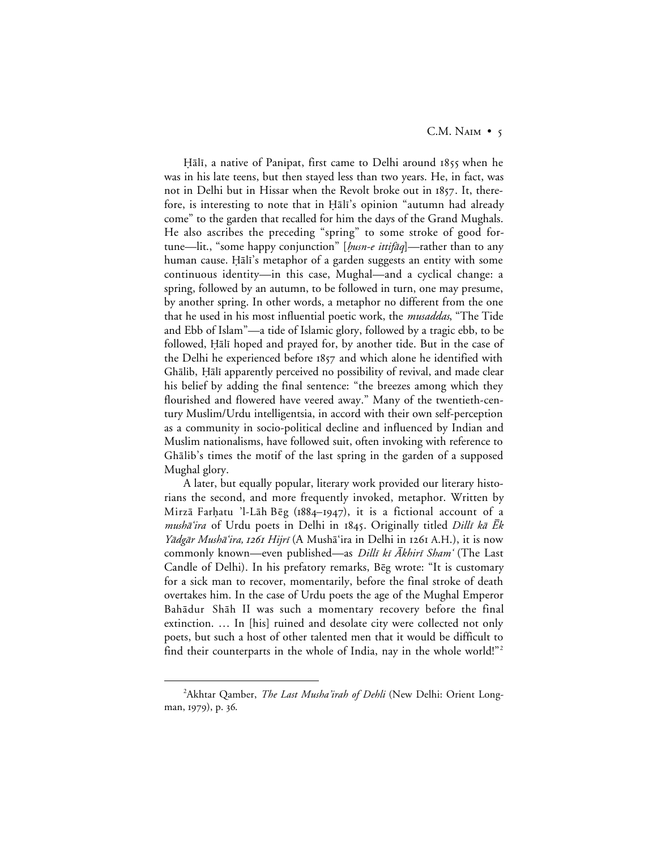### C.M. NAIM  $\cdot$  5

Hālī, a native of Panipat, first came to Delhi around 1855 when he was in his late teens, but then stayed less than two years. He, in fact, was not in Delhi but in Hissar when the Revolt broke out in 1857. It, therefore, is interesting to note that in Hali's opinion "autumn had already come" to the garden that recalled for him the days of the Grand Mughals. He also ascribes the preceding "spring" to some stroke of good fortune—lit., "some happy conjunction" [husn-e ittifaq]—rather than to any human cause. Hālī's metaphor of a garden suggests an entity with some continuous identity—in this case, Mughal—and a cyclical change: a spring, followed by an autumn, to be followed in turn, one may presume, by another spring. In other words, a metaphor no different from the one that he used in his most influential poetic work, the *musaddas*, "The Tide and Ebb of Islam"—a tide of Islamic glory, followed by a tragic ebb, to be followed, Hali hoped and prayed for, by another tide. But in the case of the Delhi he experienced before 1857 and which alone he identified with Ghālib, Hālī apparently perceived no possibility of revival, and made clear his belief by adding the final sentence: "the breezes among which they flourished and flowered have veered away." Many of the twentieth-century Muslim/Urdu intelligentsia, in accord with their own self-perception as a community in socio-political decline and influenced by Indian and Muslim nationalisms, have followed suit, often invoking with reference to Ghālib's times the motif of the last spring in the garden of a supposed Mughal glory.

A later, but equally popular, literary work provided our literary historians the second, and more frequently invoked, metaphor. Written by Mirzā Farḥatu 'l-Lāh Bēg (1884–1947), it is a fictional account of a mushā'ira of Urdu poets in Delhi in 1845. Originally titled Dillī kā  $\bar{E}k$ Yādgār Mushā'ira, 1261 Hijrī (A Mushā'ira in Delhi in 1261 A.H.), it is now commonly known—even published—as *Dillī kī Ākhirī Sham* (The Last Candle of Delhi). In his prefatory remarks, Bēg wrote: "It is customary for a sick man to recover, momentarily, before the final stroke of death overtakes him. In the case of Urdu poets the age of the Mughal Emperor Bahādur Shāh II was such a momentary recovery before the final extinction. … In [his] ruined and desolate city were collected not only poets, but such a host of other talented men that it would be difficult to find their counterparts in the whole of India, nay in the whole world!"<sup>2</sup>

 <sup>2</sup> Akhtar Qamber, *The Last Musha'irah of Dehli* (New Delhi: Orient Longman, 1979), p. 36.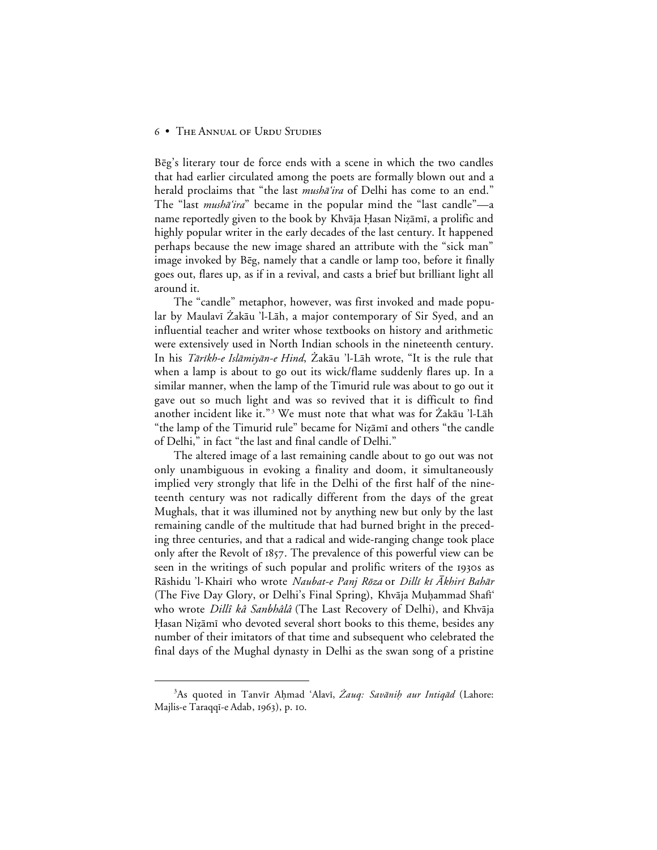Bēg's literary tour de force ends with a scene in which the two candles that had earlier circulated among the poets are formally blown out and a herald proclaims that "the last *mushā'ira* of Delhi has come to an end." The "last *mushā'ira*" became in the popular mind the "last candle"—a name reportedly given to the book by Khvāja Ḥasan Nizāmī, a prolific and highly popular writer in the early decades of the last century. It happened perhaps because the new image shared an attribute with the "sick man" image invoked by Bēg, namely that a candle or lamp too, before it finally goes out, flares up, as if in a revival, and casts a brief but brilliant light all around it.

The "candle" metaphor, however, was first invoked and made popular by Maulavī Žakāu 'l-Lāh, a major contemporary of Sir Syed, and an influential teacher and writer whose textbooks on history and arithmetic were extensively used in North Indian schools in the nineteenth century. In his *Tārīkh-e Islāmiyān-e Hind*, Żakāu 'l-Lāh wrote, "It is the rule that when a lamp is about to go out its wick/flame suddenly flares up. In a similar manner, when the lamp of the Timurid rule was about to go out it gave out so much light and was so revived that it is difficult to find another incident like it."<sup>3</sup> We must note that what was for Żakāu 'l-Lāh "the lamp of the Timurid rule" became for Nizami and others "the candle of Delhi," in fact "the last and final candle of Delhi."

The altered image of a last remaining candle about to go out was not only unambiguous in evoking a finality and doom, it simultaneously implied very strongly that life in the Delhi of the first half of the nineteenth century was not radically different from the days of the great Mughals, that it was illumined not by anything new but only by the last remaining candle of the multitude that had burned bright in the preceding three centuries, and that a radical and wide-ranging change took place only after the Revolt of  $1857$ . The prevalence of this powerful view can be seen in the writings of such popular and prolific writers of the 1930s as Rāshidu 'l-Khairī who wrote Naubat-e Panj Rōza or Dillī kī Akhirī Bahār (The Five Day Glory, or Delhi's Final Spring), Khvāja Muḥammad Shafi' who wrote *Dillî kâ Sanbhâlâ* (The Last Recovery of Delhi), and Khvāja Hasan Nizāmī who devoted several short books to this theme, besides any number of their imitators of that time and subsequent who celebrated the final days of the Mughal dynasty in Delhi as the swan song of a pristine

 $\frac{1}{3}$ <sup>3</sup>As quoted in Tanvīr Aḥmad 'Alavī,  $\zeta$ auq: Savānih aur Intiqād (Lahore: Majlis-e Taraqqī-e Adab, 1963), p. 10.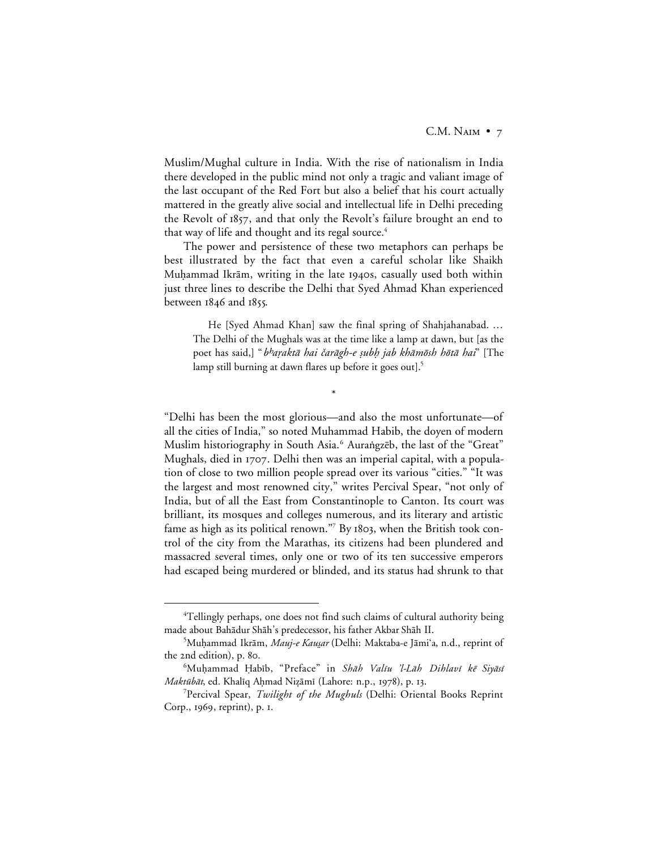Muslim/Mughal culture in India. With the rise of nationalism in India there developed in the public mind not only a tragic and valiant image of the last occupant of the Red Fort but also a belief that his court actually mattered in the greatly alive social and intellectual life in Delhi preceding the Revolt of 1857, and that only the Revolt's failure brought an end to that way of life and thought and its regal source.<sup>4</sup>

The power and persistence of these two metaphors can perhaps be best illustrated by the fact that even a careful scholar like Shaikh Muhammad Ikrām, writing in the late 1940s, casually used both within just three lines to describe the Delhi that Syed Ahmad Khan experienced between  $1846$  and  $1855$ .

He [Syed Ahmad Khan] saw the final spring of Shahjahanabad. … The Delhi of the Mughals was at the time like a lamp at dawn, but [as the poet has said,] "b<sup>h</sup>araktā hai čarāgh-e șubh jab khāmōsh hōtā hai" [The lamp still burning at dawn flares up before it goes out].<sup>5</sup>

"Delhi has been the most glorious—and also the most unfortunate—of all the cities of India," so noted Muhammad Habib, the doyen of modern Muslim historiography in South Asia.<sup>6</sup> Aurangzeb, the last of the "Great" Mughals, died in 1707. Delhi then was an imperial capital, with a population of close to two million people spread over its various "cities." "It was the largest and most renowned city," writes Percival Spear, "not only of India, but of all the East from Constantinople to Canton. Its court was brilliant, its mosques and colleges numerous, and its literary and artistic fame as high as its political renown."<sup>7</sup> By 1803, when the British took control of the city from the Marathas, its citizens had been plundered and massacred several times, only one or two of its ten successive emperors had escaped being murdered or blinded, and its status had shrunk to that

\*

 $\overline{4}$  $\rm{^{4}T}$ ellingly perhaps, one does not find such claims of cultural authority being made about Bahādur Shāh's predecessor, his father Akbar Shāh II.

<sup>&</sup>lt;sup>5</sup>Muḥammad Ikrām, *Mauj-e Kaus̯ar* (Delhi: Maktaba-e Jāmiʿa, n.d., reprint of the  $2nd$  edition), p. 80.

<sup>&</sup>lt;sup>6</sup>Muḥammad Ḥabīb, "Preface" in *Shāh Valīu 'l-Lāh Dihlavī kē Siyāsi* Maktūbāt, ed. Khalīq Aḥmad Niẓāmī (Lahore: n.p., 1978), p. 13.

<sup>7</sup> Percival Spear, *Twilight of the Mughuls* (Delhi: Oriental Books Reprint Corp., 1969, reprint), p. 1.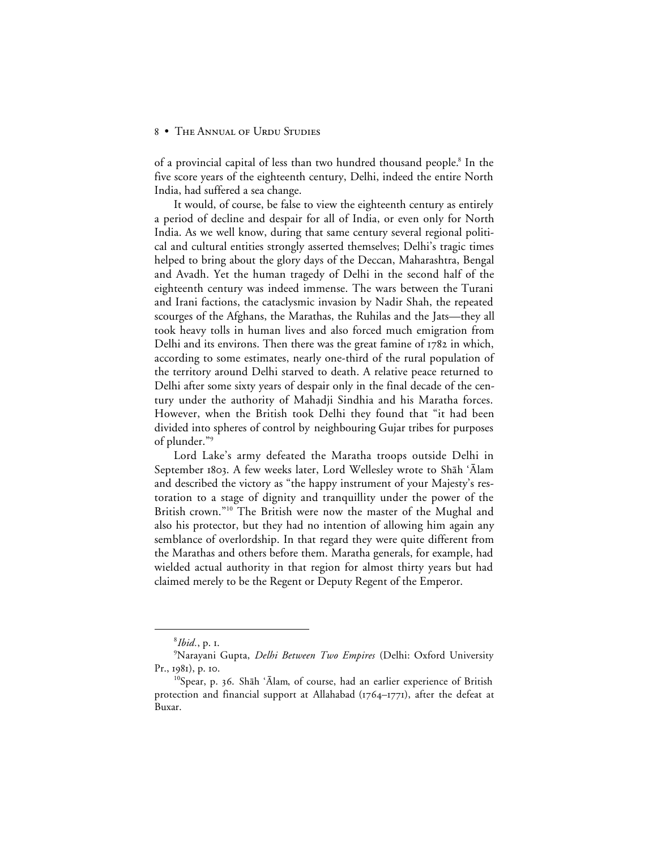of a provincial capital of less than two hundred thousand people.8 In the five score years of the eighteenth century, Delhi, indeed the entire North India, had suffered a sea change.

It would, of course, be false to view the eighteenth century as entirely a period of decline and despair for all of India, or even only for North India. As we well know, during that same century several regional political and cultural entities strongly asserted themselves; Delhi's tragic times helped to bring about the glory days of the Deccan, Maharashtra, Bengal and Avadh. Yet the human tragedy of Delhi in the second half of the eighteenth century was indeed immense. The wars between the Turani and Irani factions, the cataclysmic invasion by Nadir Shah, the repeated scourges of the Afghans, the Marathas, the Ruhilas and the Jats—they all took heavy tolls in human lives and also forced much emigration from Delhi and its environs. Then there was the great famine of  $1782$  in which, according to some estimates, nearly one-third of the rural population of the territory around Delhi starved to death. A relative peace returned to Delhi after some sixty years of despair only in the final decade of the century under the authority of Mahadji Sindhia and his Maratha forces. However, when the British took Delhi they found that "it had been divided into spheres of control by neighbouring Gujar tribes for purposes of plunder."9

Lord Lake's army defeated the Maratha troops outside Delhi in September 1803. A few weeks later, Lord Wellesley wrote to Shāh 'Ālam and described the victory as "the happy instrument of your Majesty's restoration to a stage of dignity and tranquillity under the power of the British crown."<sup>10</sup> The British were now the master of the Mughal and also his protector, but they had no intention of allowing him again any semblance of overlordship. In that regard they were quite different from the Marathas and others before them. Maratha generals, for example, had wielded actual authority in that region for almost thirty years but had claimed merely to be the Regent or Deputy Regent of the Emperor.

 <sup>8</sup> <sup>8</sup>*Ibid.*, p. 1.

<sup>9</sup> Narayani Gupta, *Delhi Between Two Empires* (Delhi: Oxford University  $Pr., 1981), p. 10.$ 

<sup>&</sup>lt;sup>10</sup>Spear, p. 36. Shāh 'Alam, of course, had an earlier experience of British protection and financial support at Allahabad  $(1764-1771)$ , after the defeat at Buxar.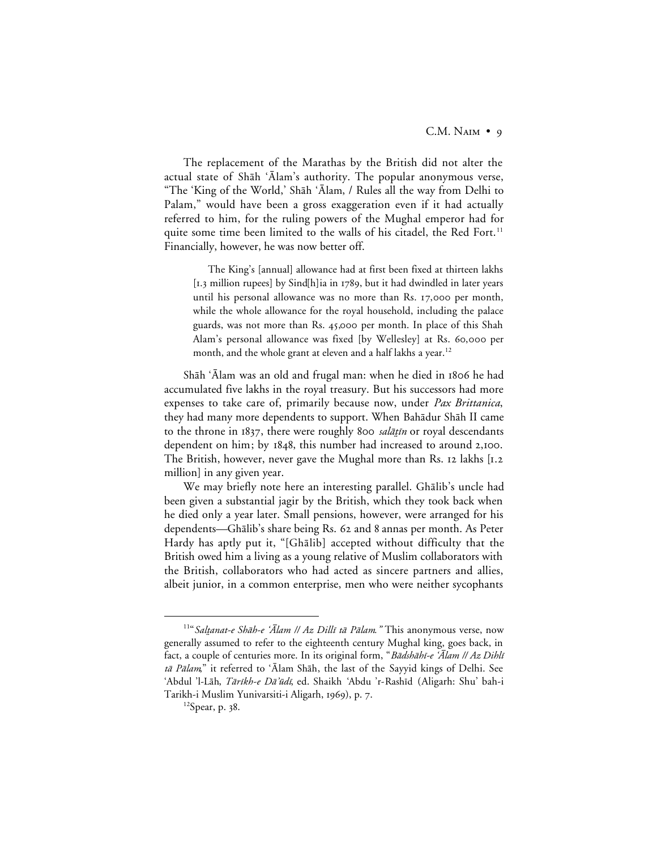The replacement of the Marathas by the British did not alter the actual state of Shāh 'Ālam's authority. The popular anonymous verse, "The 'King of the World,' Shāh 'Ālam, / Rules all the way from Delhi to Palam," would have been a gross exaggeration even if it had actually referred to him, for the ruling powers of the Mughal emperor had for quite some time been limited to the walls of his citadel, the Red Fort.<sup>11</sup> Financially, however, he was now better off.

The King's [annual] allowance had at first been fixed at thirteen lakhs [ $1.3$  million rupees] by Sind[h]ia in  $1789$ , but it had dwindled in later years until his personal allowance was no more than Rs.  $17,000$  per month, while the whole allowance for the royal household, including the palace guards, was not more than Rs. 45,000 per month. In place of this Shah Alam's personal allowance was fixed [by Wellesley] at Rs. 60,000 per month, and the whole grant at eleven and a half lakhs a year.<sup>12</sup>

Shāh 'Alam was an old and frugal man: when he died in 1806 he had accumulated five lakhs in the royal treasury. But his successors had more expenses to take care of, primarily because now, under *Pax Brittanica*, they had many more dependents to support. When Bahādur Shāh II came to the throne in 1837, there were roughly 800 *salāṭīn* or royal descendants dependent on him; by  $1848$ , this number had increased to around  $2,100$ . The British, however, never gave the Mughal more than Rs. 12 lakhs [1.2 million] in any given year.

We may briefly note here an interesting parallel. Ghālib's uncle had been given a substantial jagir by the British, which they took back when he died only a year later. Small pensions, however, were arranged for his dependents—Ghālib's share being Rs. 62 and 8 annas per month. As Peter Hardy has aptly put it, "[Ghālib] accepted without difficulty that the British owed him a living as a young relative of Muslim collaborators with the British, collaborators who had acted as sincere partners and allies, albeit junior, in a common enterprise, men who were neither sycophants

<sup>&</sup>lt;sup>11"</sup>Saltanat-e Shāh-e 'Ālam // Az Dillī tā Pālam." This anonymous verse, now generally assumed to refer to the eighteenth century Mughal king, goes back, in fact, a couple of centuries more. In its original form, "Bādshāhī-e 'Ālam // Az Dihlī tā Pālam," it referred to 'Alam Shāh, the last of the Sayyid kings of Delhi. See ʻAbdul 'l-Lāh, *Tārīkh-e Dā'ūdī*, ed. Shaikh 'Abdu 'r-Rashīd (Aligarh: Shu' bah-i Tarikh-i Muslim Yunivarsiti-i Aligarh, 1969), p. 7.

 $12$ Spear, p. 38.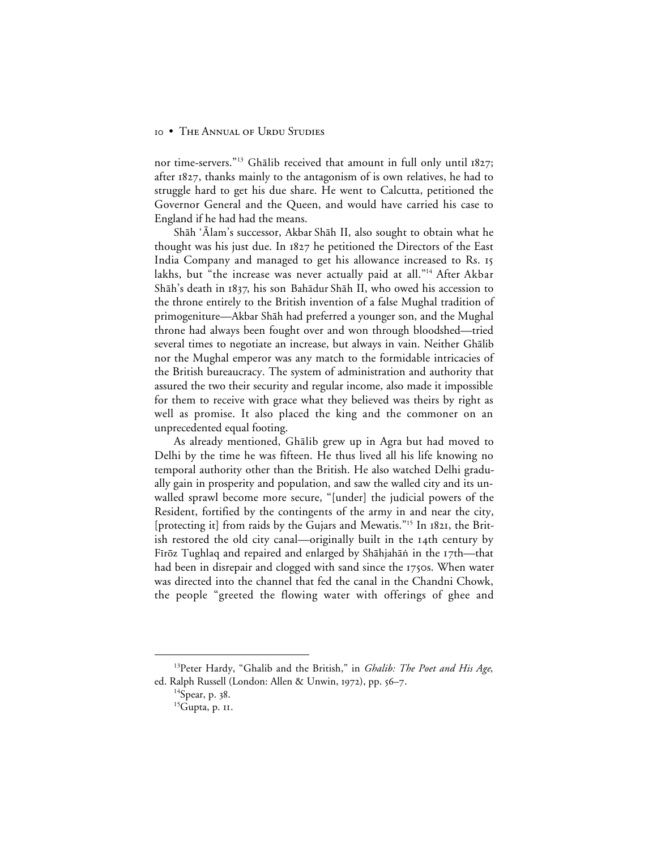nor time-servers."<sup>13</sup> Ghālib received that amount in full only until 1827; after 1827, thanks mainly to the antagonism of is own relatives, he had to struggle hard to get his due share. He went to Calcutta, petitioned the Governor General and the Queen, and would have carried his case to England if he had had the means.

Shāh 'Ālam's successor, Akbar Shāh II, also sought to obtain what he thought was his just due. In 1827 he petitioned the Directors of the East India Company and managed to get his allowance increased to Rs. 15 lakhs, but "the increase was never actually paid at all."<sup>14</sup> After Akbar Shāh's death in 1837, his son Bahādur Shāh II, who owed his accession to the throne entirely to the British invention of a false Mughal tradition of primogeniture—Akbar Shāh had preferred a younger son, and the Mughal throne had always been fought over and won through bloodshed—tried several times to negotiate an increase, but always in vain. Neither Ghālib nor the Mughal emperor was any match to the formidable intricacies of the British bureaucracy. The system of administration and authority that assured the two their security and regular income, also made it impossible for them to receive with grace what they believed was theirs by right as well as promise. It also placed the king and the commoner on an unprecedented equal footing.

As already mentioned, Ghālib grew up in Agra but had moved to Delhi by the time he was fifteen. He thus lived all his life knowing no temporal authority other than the British. He also watched Delhi gradually gain in prosperity and population, and saw the walled city and its unwalled sprawl become more secure, "[under] the judicial powers of the Resident, fortified by the contingents of the army in and near the city, [protecting it] from raids by the Gujars and Mewatis."<sup>15</sup> In 1821, the British restored the old city canal—originally built in the  $I_4$ th century by Firōz Tughlaq and repaired and enlarged by Shāhjahān in the  $17$ th—that had been in disrepair and clogged with sand since the 1750s. When water was directed into the channel that fed the canal in the Chandni Chowk, the people "greeted the flowing water with offerings of ghee and

<sup>&</sup>lt;sup>13</sup>Peter Hardy, "Ghalib and the British," in *Ghalib: The Poet and His Age*, ed. Ralph Russell (London: Allen & Unwin, 1972), pp. 56-7.

 $14$ Spear, p. 38.

 $^{15}$ Gupta, p. II.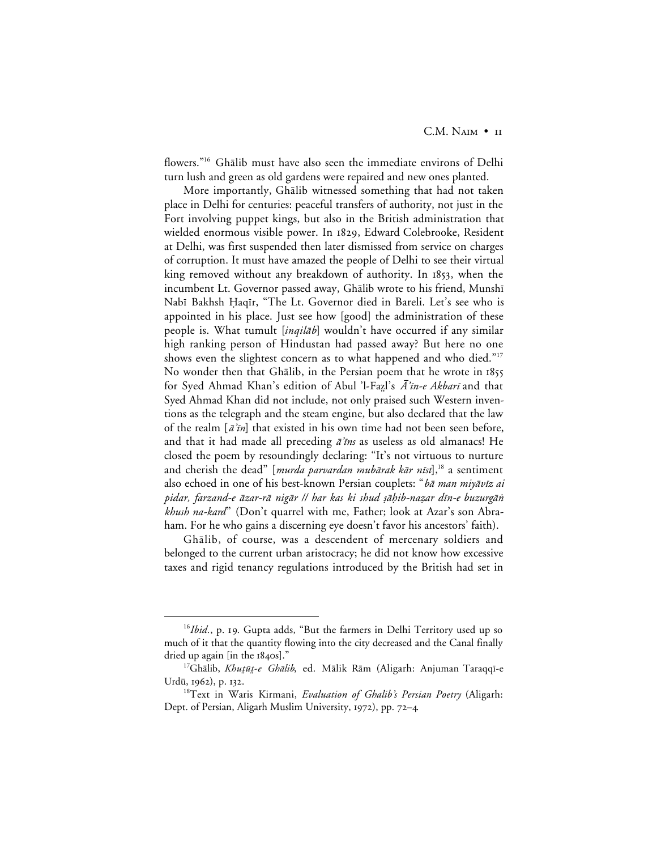$C.M. N$ AIM  $\bullet$  II

flowers."<sup>16</sup> Ghālib must have also seen the immediate environs of Delhi turn lush and green as old gardens were repaired and new ones planted.

More importantly, Ghālib witnessed something that had not taken place in Delhi for centuries: peaceful transfers of authority, not just in the Fort involving puppet kings, but also in the British administration that wielded enormous visible power. In 1829, Edward Colebrooke, Resident at Delhi, was first suspended then later dismissed from service on charges of corruption. It must have amazed the people of Delhi to see their virtual king removed without any breakdown of authority. In 1853, when the incumbent Lt. Governor passed away, Ghālib wrote to his friend, Munshī Nabī Bakhsh Haqīr, "The Lt. Governor died in Bareli. Let's see who is appointed in his place. Just see how [good] the administration of these people is. What tumult [inqilab] wouldn't have occurred if any similar high ranking person of Hindustan had passed away? But here no one shows even the slightest concern as to what happened and who died."<sup>17</sup> No wonder then that Ghālib, in the Persian poem that he wrote in 1855 for Syed Ahmad Khan's edition of Abul 'l-Fazl's  $\overline{A}$ 'in-e Akbari and that Syed Ahmad Khan did not include, not only praised such Western inventions as the telegraph and the steam engine, but also declared that the law of the realm  $[\bar{a}'\bar{m}]$  that existed in his own time had not been seen before, and that it had made all preceding  $\vec{a}'$ ins as useless as old almanacs! He closed the poem by resoundingly declaring: "It's not virtuous to nurture and cherish the dead" [murda parvardan mubārak kār nīst],<sup>18</sup> a sentiment also echoed in one of his best-known Persian couplets: "bā man miyāvīz ai pidar, farzand-e āzar-rā nigār // har kas ki shud şāhib-nazar dīn-e buzurgān khush na-kard" (Don't quarrel with me, Father; look at Azar's son Abraham. For he who gains a discerning eye doesn't favor his ancestors' faith).

Ghalib, of course, was a descendent of mercenary soldiers and belonged to the current urban aristocracy; he did not know how excessive taxes and rigid tenancy regulations introduced by the British had set in

<sup>&</sup>lt;sup>16</sup>Ibid., p. 19. Gupta adds, "But the farmers in Delhi Territory used up so much of it that the quantity flowing into the city decreased and the Canal finally dried up again [in the  $184$ os]."

<sup>&</sup>lt;sup>17</sup>Ghālib, Khutūt-e Ghālib, ed. Mālik Rām (Aligarh: Anjuman Taraqqī-e Urdū, 1962), p. 132.

<sup>18</sup>Text in Waris Kirmani, *Evaluation of Ghalib's Persian Poetry* (Aligarh: Dept. of Persian, Aligarh Muslim University, 1972), pp. 72–4.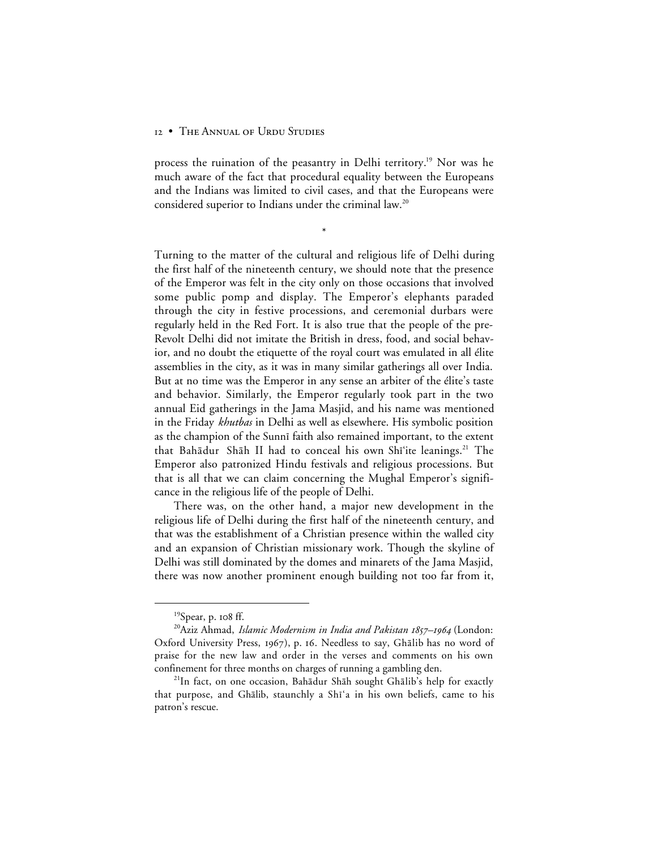process the ruination of the peasantry in Delhi territory.<sup>19</sup> Nor was he much aware of the fact that procedural equality between the Europeans and the Indians was limited to civil cases, and that the Europeans were considered superior to Indians under the criminal law.20

\*

Turning to the matter of the cultural and religious life of Delhi during the first half of the nineteenth century, we should note that the presence of the Emperor was felt in the city only on those occasions that involved some public pomp and display. The Emperor's elephants paraded through the city in festive processions, and ceremonial durbars were regularly held in the Red Fort. It is also true that the people of the pre-Revolt Delhi did not imitate the British in dress, food, and social behavior, and no doubt the etiquette of the royal court was emulated in all élite assemblies in the city, as it was in many similar gatherings all over India. But at no time was the Emperor in any sense an arbiter of the élite's taste and behavior. Similarly, the Emperor regularly took part in the two annual Eid gatherings in the Jama Masjid, and his name was mentioned in the Friday *khutbas* in Delhi as well as elsewhere. His symbolic position as the champion of the Sunni faith also remained important, to the extent that Bahādur Shāh II had to conceal his own Shī'ite leanings.<sup>21</sup> The Emperor also patronized Hindu festivals and religious processions. But that is all that we can claim concerning the Mughal Emperor's significance in the religious life of the people of Delhi.

There was, on the other hand, a major new development in the religious life of Delhi during the first half of the nineteenth century, and that was the establishment of a Christian presence within the walled city and an expansion of Christian missionary work. Though the skyline of Delhi was still dominated by the domes and minarets of the Jama Masjid, there was now another prominent enough building not too far from it,

 $19$ Spear, p.  $108$  ff.

<sup>&</sup>lt;sup>20</sup>Aziz Ahmad, *Islamic Modernism in India and Pakistan 1857–1964* (London: Oxford University Press, 1967), p. 16. Needless to say, Ghālib has no word of praise for the new law and order in the verses and comments on his own confinement for three months on charges of running a gambling den.

<sup>&</sup>lt;sup>21</sup>In fact, on one occasion, Bahādur Shāh sought Ghālib's help for exactly that purpose, and Ghālib, staunchly a Shī'a in his own beliefs, came to his patron's rescue.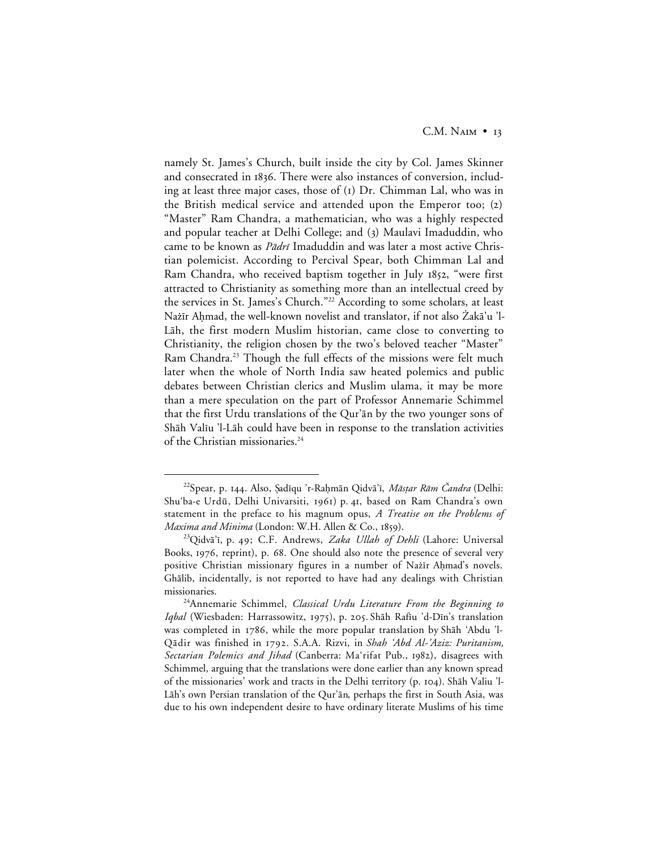namely St. James's Church, built inside the city by Col. James Skinner and consecrated in 1836. There were also instances of conversion, including at least three major cases, those of  $(i)$  Dr. Chimman Lal, who was in the British medical service and attended upon the Emperor too;  $(2)$ "Master" Ram Chandra, a mathematician, who was a highly respected and popular teacher at Delhi College; and (3) Maulavi Imaduddin, who came to be known as Pādrī Imaduddin and was later a most active Christian polemicist. According to Percival Spear, both Chimman Lal and Ram Chandra, who received baptism together in July 1852, "were first attracted to Christianity as something more than an intellectual creed by the services in St. James's Church."22 According to some scholars, at least Nażīr Ahmad, the well-known novelist and translator, if not also Żakā'u 'l-Lāh, the first modern Muslim historian, came close to converting to Christianity, the religion chosen by the two's beloved teacher "Master" Ram Chandra.<sup>23</sup> Though the full effects of the missions were felt much later when the whole of North India saw heated polemics and public debates between Christian clerics and Muslim ulama, it may be more than a mere speculation on the part of Professor Annemarie Schimmel that the first Urdu translations of the Qur'an by the two younger sons of Shāh Valīu 'l-Lāh could have been in response to the translation activities of the Christian missionaries.<sup>24</sup>

<sup>&</sup>lt;sup>22</sup>Spear, p. 144. Also, Şadīqu 'r-Rahmān Qidvā'ī, *Māstar Rām Čandra* (Delhi: Shu'ba-e Urdū, Delhi Univarsiti, 1961) p. 41, based on Ram Chandra's own statement in the preface to his magnum opus, *A Treatise on the Problems of Maxima and Minima* (London: W.H. Allen & Co., 1859).

<sup>&</sup>lt;sup>23</sup>Qidvā'ī, p. 49; C.F. Andrews, *Zaka Ullah of Dehli* (Lahore: Universal Books, 1976, reprint), p. 68. One should also note the presence of several very positive Christian missionary figures in a number of Nazīr Ahmad's novels. Ghālib, incidentally, is not reported to have had any dealings with Christian missionaries.

<sup>24</sup>Annemarie Schimmel, *Classical Urdu Literature From the Beginning to Iqbal* (Wiesbaden: Harrassowitz, 1975), p. 205. Shāh Rafīu 'd-Dīn's translation was completed in 1786, while the more popular translation by Shāh 'Abdu 'l-Qādir was finished in 1792. S.A.A. Rizvi, in Shah 'Abd Al-'Aziz: Puritanism, *Sectarian Polemics and Jihad* (Canberra: Ma'rifat Pub., 1982), disagrees with Schimmel, arguing that the translations were done earlier than any known spread of the missionaries' work and tracts in the Delhi territory (p. 104). Shāh Valiu 'l-Lāh's own Persian translation of the Qur'ān, perhaps the first in South Asia, was due to his own independent desire to have ordinary literate Muslims of his time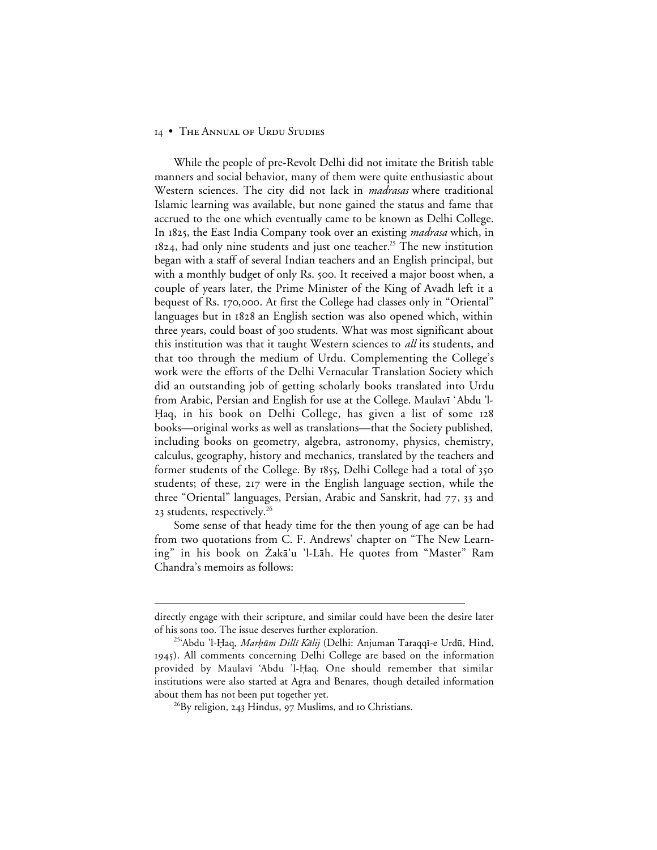While the people of pre-Revolt Delhi did not imitate the British table manners and social behavior, many of them were quite enthusiastic about Western sciences. The city did not lack in *madrasas* where traditional Islamic learning was available, but none gained the status and fame that accrued to the one which eventually came to be known as Delhi College. In 1825, the East India Company took over an existing *madrasa* which, in  $1824$ , had only nine students and just one teacher.<sup>25</sup> The new institution began with a staff of several Indian teachers and an English principal, but with a monthly budget of only Rs. 500. It received a major boost when, a couple of years later, the Prime Minister of the King of Avadh left it a bequest of Rs. 170,000. At first the College had classes only in "Oriental" languages but in 1828 an English section was also opened which, within three years, could boast of 300 students. What was most significant about this institution was that it taught Western sciences to *all* its students, and that too through the medium of Urdu. Complementing the College's work were the efforts of the Delhi Vernacular Translation Society which did an outstanding job of getting scholarly books translated into Urdu from Arabic, Persian and English for use at the College. Maulavi 'Abdu 'l-Haq, in his book on Delhi College, has given a list of some 128 books—original works as well as translations—that the Society published, including books on geometry, algebra, astronomy, physics, chemistry, calculus, geography, history and mechanics, translated by the teachers and former students of the College. By 1855, Delhi College had a total of 350 students; of these, 217 were in the English language section, while the three "Oriental" languages, Persian, Arabic and Sanskrit, had  $77, 33$  and 23 students, respectively.<sup>26</sup>

Some sense of that heady time for the then young of age can be had from two quotations from C. F. Andrews' chapter on "The New Learning" in his book on Żakā'u 'l-Lāh. He quotes from "Master" Ram Chandra's memoirs as follows:

 $\overline{a}$ 

directly engage with their scripture, and similar could have been the desire later of his sons too. The issue deserves further exploration.

<sup>&</sup>lt;sup>25</sup>'Abdu 'l-Ḥaq, *Marḥūm Dillī Kālij* (Delhi: Anjuman Taraqqī-e Urdū, Hind, ). All comments concerning Delhi College are based on the information provided by Maulavi 'Abdu 'l-ƒaq. One should remember that similar institutions were also started at Agra and Benares, though detailed information about them has not been put together yet.

 $^{26}$ By religion, 243 Hindus, 97 Muslims, and 10 Christians.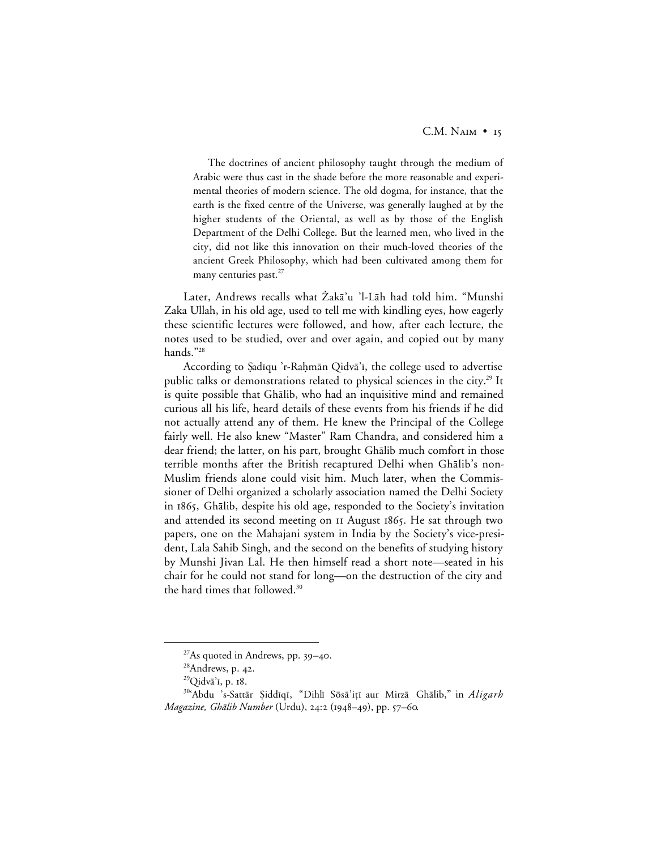### $C.M. N<sub>AIM</sub> •<sub>15</sub>$

The doctrines of ancient philosophy taught through the medium of Arabic were thus cast in the shade before the more reasonable and experimental theories of modern science. The old dogma, for instance, that the earth is the fixed centre of the Universe, was generally laughed at by the higher students of the Oriental, as well as by those of the English Department of the Delhi College. But the learned men, who lived in the city, did not like this innovation on their much-loved theories of the ancient Greek Philosophy, which had been cultivated among them for many centuries past. $27$ 

Later, Andrews recalls what Żakā'u 'l-Lāh had told him. "Munshi Zaka Ullah, in his old age, used to tell me with kindling eyes, how eagerly these scientific lectures were followed, and how, after each lecture, the notes used to be studied, over and over again, and copied out by many hands."28

According to Şadīqu 'r-Raḥmān Qidvā'ī, the college used to advertise public talks or demonstrations related to physical sciences in the city.<sup>29</sup> It is quite possible that Ghālib, who had an inquisitive mind and remained curious all his life, heard details of these events from his friends if he did not actually attend any of them. He knew the Principal of the College fairly well. He also knew "Master" Ram Chandra, and considered him a dear friend; the latter, on his part, brought Ghālib much comfort in those terrible months after the British recaptured Delhi when Ghālib's non-Muslim friends alone could visit him. Much later, when the Commissioner of Delhi organized a scholarly association named the Delhi Society in 1865, Ghālib, despite his old age, responded to the Society's invitation and attended its second meeting on II August 1865. He sat through two papers, one on the Mahajani system in India by the Society's vice-president, Lala Sahib Singh, and the second on the benefits of studying history by Munshi Jivan Lal. He then himself read a short note—seated in his chair for he could not stand for long—on the destruction of the city and the hard times that followed.<sup>30</sup>

 $27$ As quoted in Andrews, pp. 39-40.

 $28$ Andrews, p. 42.

<sup>&</sup>lt;sup>29</sup>Qidvā'ī, p. 18.

<sup>&</sup>lt;sup>30</sup>'Abdu 's-Sattār Şiddīqī, "Dihlī Sōsā'iṭī aur Mirzā Ghālib," in Aligarh *Magazine, Ghālib Number* (Urdu), 24:2 (1948–49), pp. 57–60.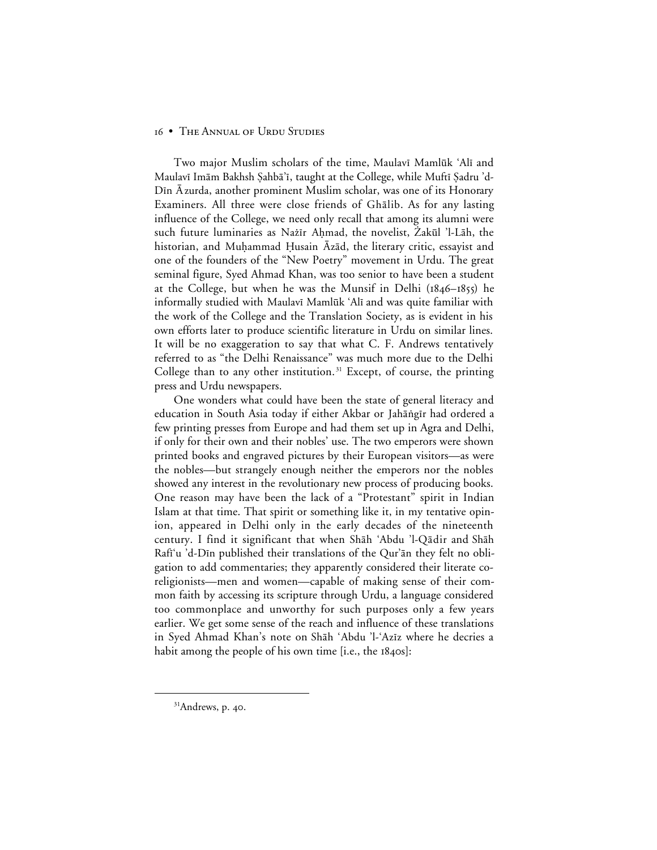Two major Muslim scholars of the time, Maulavi Mamlūk 'Alī and Maulavī Imām Bakhsh Şahbā'ī, taught at the College, while Muftī Şadru 'd-Din  $\bar{A}$ zurda, another prominent Muslim scholar, was one of its Honorary Examiners. All three were close friends of Ghalib. As for any lasting influence of the College, we need only recall that among its alumni were such future luminaries as Nažīr Aḥmad, the novelist, Żakūl 'l-Lāh, the historian, and Muḥammad Husain Azād, the literary critic, essayist and one of the founders of the "New Poetry" movement in Urdu. The great seminal figure, Syed Ahmad Khan, was too senior to have been a student at the College, but when he was the Munsif in Delhi  $(1846-1855)$  he informally studied with Maulavµ Maml∑k 'Alµ and was quite familiar with the work of the College and the Translation Society, as is evident in his own efforts later to produce scientific literature in Urdu on similar lines. It will be no exaggeration to say that what C. F. Andrews tentatively referred to as "the Delhi Renaissance" was much more due to the Delhi College than to any other institution.<sup>31</sup> Except, of course, the printing press and Urdu newspapers.

One wonders what could have been the state of general literacy and education in South Asia today if either Akbar or Jahāngīr had ordered a few printing presses from Europe and had them set up in Agra and Delhi, if only for their own and their nobles' use. The two emperors were shown printed books and engraved pictures by their European visitors—as were the nobles—but strangely enough neither the emperors nor the nobles showed any interest in the revolutionary new process of producing books. One reason may have been the lack of a "Protestant" spirit in Indian Islam at that time. That spirit or something like it, in my tentative opinion, appeared in Delhi only in the early decades of the nineteenth century. I find it significant that when Shah 'Abdu 'l-Qadir and Shah Rafi'u 'd-Din published their translations of the Qur'an they felt no obligation to add commentaries; they apparently considered their literate coreligionists—men and women—capable of making sense of their common faith by accessing its scripture through Urdu, a language considered too commonplace and unworthy for such purposes only a few years earlier. We get some sense of the reach and influence of these translations in Syed Ahmad Khan's note on Shah 'Abdu 'l-'Aziz where he decries a habit among the people of his own time  $[i.e., the 184\text{os}]$ :

<sup>&</sup>lt;sup>31</sup>Andrews, p. 40.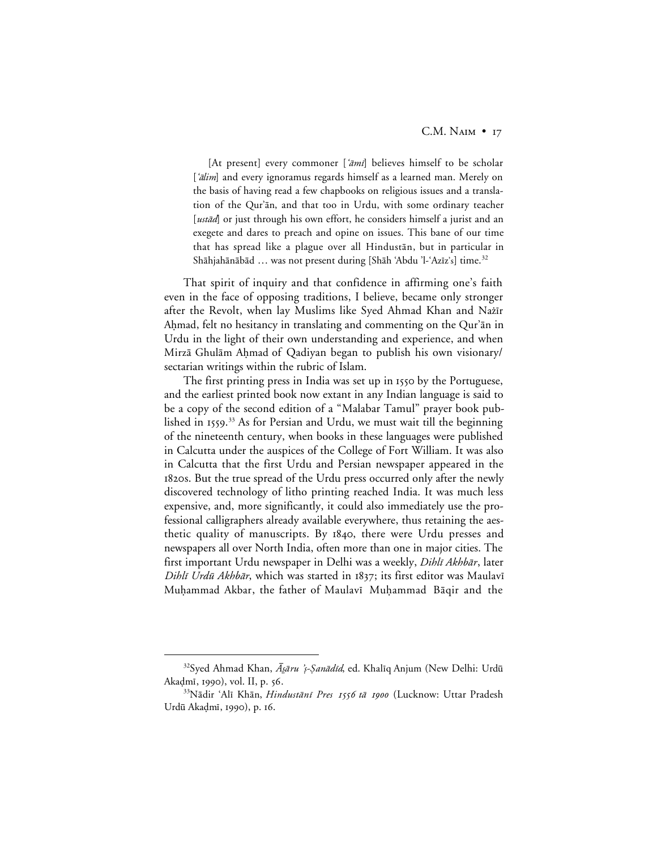#### $C.M. N<sub>AIM</sub> •<sub>17</sub>$

[At present] every commoner [' $\vec{a}$ mi] believes himself to be scholar ['alim] and every ignoramus regards himself as a learned man. Merely on the basis of having read a few chapbooks on religious issues and a translation of the Qur'ān, and that too in Urdu, with some ordinary teacher [ustād] or just through his own effort, he considers himself a jurist and an exegete and dares to preach and opine on issues. This bane of our time that has spread like a plague over all Hindustān, but in particular in Shāhjahānābād … was not present during [Shāh 'Abdu 'l-'Azīz's] time.<sup>32</sup>

That spirit of inquiry and that confidence in affirming one's faith even in the face of opposing traditions, I believe, became only stronger after the Revolt, when lay Muslims like Syed Ahmad Khan and Nażīr Ahmad, felt no hesitancy in translating and commenting on the Qur'ān in Urdu in the light of their own understanding and experience, and when Mirzā Ghulām Aḥmad of Qadiyan began to publish his own visionary/ sectarian writings within the rubric of Islam.

The first printing press in India was set up in 1550 by the Portuguese, and the earliest printed book now extant in any Indian language is said to be a copy of the second edition of a "Malabar Tamul" prayer book published in 1559.<sup>33</sup> As for Persian and Urdu, we must wait till the beginning of the nineteenth century, when books in these languages were published in Calcutta under the auspices of the College of Fort William. It was also in Calcutta that the first Urdu and Persian newspaper appeared in the s. But the true spread of the Urdu press occurred only after the newly discovered technology of litho printing reached India. It was much less expensive, and, more significantly, it could also immediately use the professional calligraphers already available everywhere, thus retaining the aesthetic quality of manuscripts. By 1840, there were Urdu presses and newspapers all over North India, often more than one in major cities. The first important Urdu newspaper in Delhi was a weekly, *Dihlī Akhbār*, later Dihlī Urdū Akhbār, which was started in 1837; its first editor was Maulavī Muhammad Akbar, the father of Maulavī Muḥammad Bāqir and the

<sup>&</sup>lt;sup>32</sup>Syed Ahmad Khan, *Āṣāru 'ṣ-Ṣanādīd*, ed. Khalīq Anjum (New Delhi: Urdū Akadmī, 1990), vol. II, p. 56.

<sup>&</sup>lt;sup>33</sup>Nādir 'Alī Khān, *Hindustānī Pres 1556 tā 1900* (Lucknow: Uttar Pradesh Urdū Akadmī, 1990), p. 16.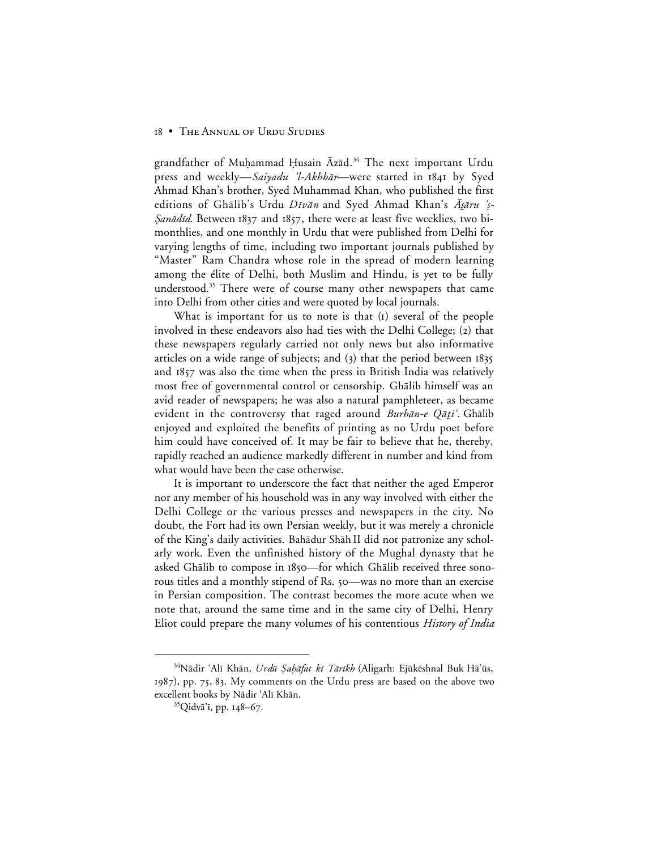grandfather of Muḥammad Ḥusain Āzād.<sup>34</sup> The next important Urdu press and weekly—Saiyadu 'l-Akhbār—were started in 1841 by Syed Ahmad Khan's brother, Syed Muhammad Khan, who published the first editions of Ghālib's Urdu Dīvān and Syed Ahmad Khan's Aşāru 's-Sanādīd. Between 1837 and 1857, there were at least five weeklies, two bimonthlies, and one monthly in Urdu that were published from Delhi for varying lengths of time, including two important journals published by "Master" Ram Chandra whose role in the spread of modern learning among the élite of Delhi, both Muslim and Hindu, is yet to be fully understood.<sup>35</sup> There were of course many other newspapers that came into Delhi from other cities and were quoted by local journals.

What is important for us to note is that  $(i)$  several of the people involved in these endeavors also had ties with the Delhi College; (2) that these newspapers regularly carried not only news but also informative articles on a wide range of subjects; and  $(3)$  that the period between  $1835$ and  $1857$  was also the time when the press in British India was relatively most free of governmental control or censorship. Ghalib himself was an avid reader of newspapers; he was also a natural pamphleteer, as became evident in the controversy that raged around *Burhān-e Qāṭi'*. Ghālib enjoyed and exploited the benefits of printing as no Urdu poet before him could have conceived of. It may be fair to believe that he, thereby, rapidly reached an audience markedly different in number and kind from what would have been the case otherwise.

It is important to underscore the fact that neither the aged Emperor nor any member of his household was in any way involved with either the Delhi College or the various presses and newspapers in the city. No doubt, the Fort had its own Persian weekly, but it was merely a chronicle of the King's daily activities. Bahādur Shāh II did not patronize any scholarly work. Even the unfinished history of the Mughal dynasty that he asked Ghālib to compose in 1850—for which Ghālib received three sonorous titles and a monthly stipend of Rs. 50—was no more than an exercise in Persian composition. The contrast becomes the more acute when we note that, around the same time and in the same city of Delhi, Henry Eliot could prepare the many volumes of his contentious *History of India*

<sup>&</sup>lt;sup>34</sup>Nādir 'Alī Khān, Urdū Şahāfat kī Tārīkh (Aligarh: Ejūkēshnal Buk Hā'ūs,  $1987$ ), pp. 75, 83. My comments on the Urdu press are based on the above two excellent books by Nādir 'Alī Khān.

<sup>&</sup>lt;sup>35</sup>Qidvā'ī, pp. 148–67.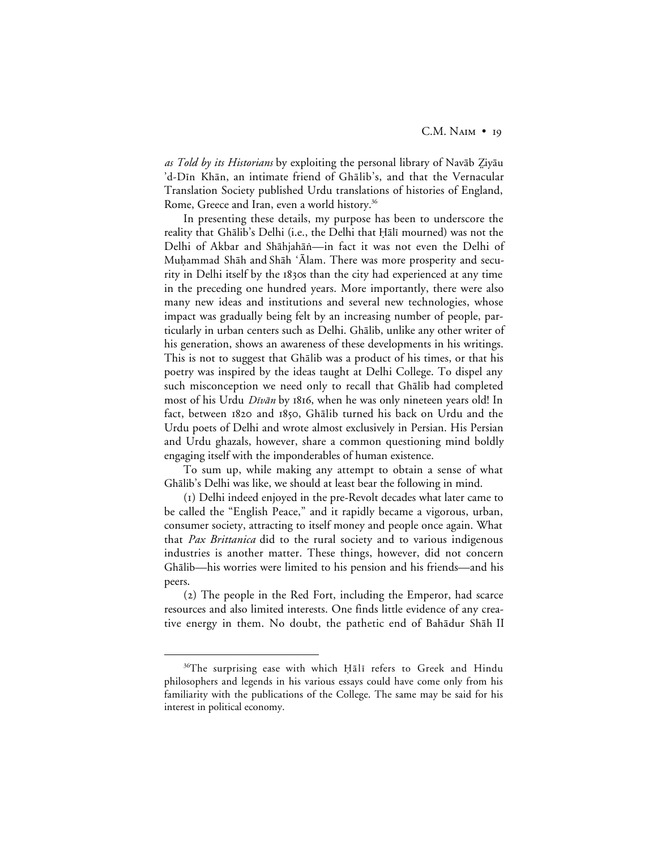*as Told by its Historians* by exploiting the personal library of Navāb Ziyāu 'd-Dīn Khān, an intimate friend of Ghālib's, and that the Vernacular Translation Society published Urdu translations of histories of England, Rome, Greece and Iran, even a world history.<sup>36</sup>

In presenting these details, my purpose has been to underscore the reality that Ghālib's Delhi (i.e., the Delhi that Hālī mourned) was not the Delhi of Akbar and Shāhjahāṅ—in fact it was not even the Delhi of Muhammad Shāh and Shāh 'Ālam. There was more prosperity and security in Delhi itself by the 1830s than the city had experienced at any time in the preceding one hundred years. More importantly, there were also many new ideas and institutions and several new technologies, whose impact was gradually being felt by an increasing number of people, particularly in urban centers such as Delhi. Ghālib, unlike any other writer of his generation, shows an awareness of these developments in his writings. This is not to suggest that Ghalib was a product of his times, or that his poetry was inspired by the ideas taught at Delhi College. To dispel any such misconception we need only to recall that Ghalib had completed most of his Urdu Dīvān by 1816, when he was only nineteen years old! In fact, between 1820 and 1850, Ghālib turned his back on Urdu and the Urdu poets of Delhi and wrote almost exclusively in Persian. His Persian and Urdu ghazals, however, share a common questioning mind boldly engaging itself with the imponderables of human existence.

To sum up, while making any attempt to obtain a sense of what Ghālib's Delhi was like, we should at least bear the following in mind.

() Delhi indeed enjoyed in the pre-Revolt decades what later came to be called the "English Peace," and it rapidly became a vigorous, urban, consumer society, attracting to itself money and people once again. What that *Pax Brittanica* did to the rural society and to various indigenous industries is another matter. These things, however, did not concern Ghālib—his worries were limited to his pension and his friends—and his peers.

(2) The people in the Red Fort, including the Emperor, had scarce resources and also limited interests. One finds little evidence of any creative energy in them. No doubt, the pathetic end of Bahādur Shāh II

<sup>36</sup>The surprising ease with which Hali refers to Greek and Hindu philosophers and legends in his various essays could have come only from his familiarity with the publications of the College. The same may be said for his interest in political economy.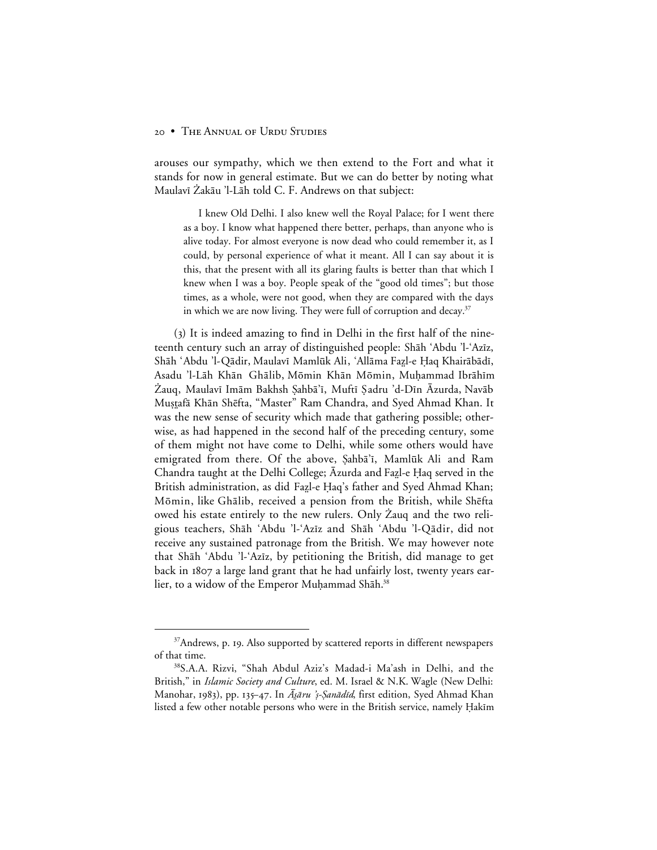arouses our sympathy, which we then extend to the Fort and what it stands for now in general estimate. But we can do better by noting what Maulavī Żakāu 'l-Lāh told C. F. Andrews on that subject:

I knew Old Delhi. I also knew well the Royal Palace; for I went there as a boy. I know what happened there better, perhaps, than anyone who is alive today. For almost everyone is now dead who could remember it, as I could, by personal experience of what it meant. All I can say about it is this, that the present with all its glaring faults is better than that which I knew when I was a boy. People speak of the "good old times"; but those times, as a whole, were not good, when they are compared with the days in which we are now living. They were full of corruption and decay.<sup>37</sup>

(3) It is indeed amazing to find in Delhi in the first half of the nineteenth century such an array of distinguished people: Shāh 'Abdu 'l-'Azīz, Shāh 'Abdu 'l-Qādir, Maulavī Mamlūk Ali, 'Allāma Fazl-e Ḥaq Khairābādī, Asadu 'l-Lāh Khān Ghālib, Mōmin Khān Mōmin, Muḥammad Ibrāhīm Żauq, Maulavī Imām Bakhsh Şahbā'ī, Muftī Şadru 'd-Dīn Āzurda, Navāb Mustafā Khān Shēfta, "Master" Ram Chandra, and Syed Ahmad Khan. It was the new sense of security which made that gathering possible; otherwise, as had happened in the second half of the preceding century, some of them might not have come to Delhi, while some others would have emigrated from there. Of the above, Şahba'i, Mamlūk Ali and Ram Chandra taught at the Delhi College; Azurda and Fazl-e Haq served in the British administration, as did Fazl-e Haq's father and Syed Ahmad Khan; Mōmin, like Ghālib, received a pension from the British, while Shēfta owed his estate entirely to the new rulers. Only Zauq and the two religious teachers, Shāh 'Abdu 'l-'Azīz and Shāh 'Abdu 'l-Qādir, did not receive any sustained patronage from the British. We may however note that Shāh 'Abdu 'l-'Azīz, by petitioning the British, did manage to get back in 1807 a large land grant that he had unfairly lost, twenty years earlier, to a widow of the Emperor Muḥammad Shāh.<sup>38</sup>

<sup>&</sup>lt;sup>37</sup>Andrews, p. 19. Also supported by scattered reports in different newspapers of that time.

<sup>38</sup>S.A.A. Rizvi, "Shah Abdul Aziz's Madad-i Ma'ash in Delhi, and the British," in *Islamic Society and Culture*, ed. M. Israel & N.K. Wagle (New Delhi: Manohar, 1983), pp. 135–47. In Asāru 's-Şanādīd, first edition, Syed Ahmad Khan listed a few other notable persons who were in the British service, namely Hakim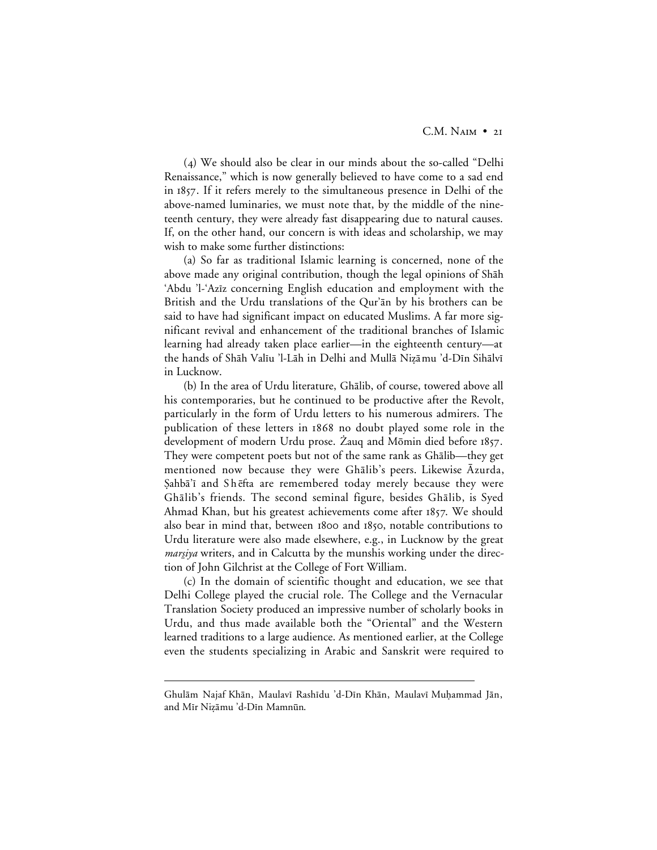## $C.M. N<sub>AIM</sub> • 2I$

 $(4)$  We should also be clear in our minds about the so-called "Delhi Renaissance," which is now generally believed to have come to a sad end in 1857. If it refers merely to the simultaneous presence in Delhi of the above-named luminaries, we must note that, by the middle of the nineteenth century, they were already fast disappearing due to natural causes. If, on the other hand, our concern is with ideas and scholarship, we may wish to make some further distinctions:

(a) So far as traditional Islamic learning is concerned, none of the above made any original contribution, though the legal opinions of Shāh 'Abdu 'l-'Azīz concerning English education and employment with the British and the Urdu translations of the Qur'ān by his brothers can be said to have had significant impact on educated Muslims. A far more significant revival and enhancement of the traditional branches of Islamic learning had already taken place earlier—in the eighteenth century—at the hands of Shāh Valīu 'l-Lāh in Delhi and Mullā Nizāmu 'd-Dīn Sihālvī in Lucknow.

(b) In the area of Urdu literature, Ghalib, of course, towered above all his contemporaries, but he continued to be productive after the Revolt, particularly in the form of Urdu letters to his numerous admirers. The publication of these letters in 1868 no doubt played some role in the development of modern Urdu prose. Żauq and Mōmin died before 1857. They were competent poets but not of the same rank as Ghālib—they get mentioned now because they were Ghalib's peers. Likewise Azurda, Şahbā'ī and Shēfta are remembered today merely because they were Ghālib's friends. The second seminal figure, besides Ghālib, is Syed Ahmad Khan, but his greatest achievements come after 1857. We should also bear in mind that, between 1800 and 1850, notable contributions to Urdu literature were also made elsewhere, e.g., in Lucknow by the great *marsiya* writers, and in Calcutta by the munshis working under the direction of John Gilchrist at the College of Fort William.

(c) In the domain of scientific thought and education, we see that Delhi College played the crucial role. The College and the Vernacular Translation Society produced an impressive number of scholarly books in Urdu, and thus made available both the "Oriental" and the Western learned traditions to a large audience. As mentioned earlier, at the College even the students specializing in Arabic and Sanskrit were required to

 $\overline{a}$ 

Ghulām Najaf Khān, Maulavī Rashīdu 'd-Dīn Khān, Maulavī Muḥammad Jān, and Mīr Niẓāmu 'd-Dīn Mamnūn.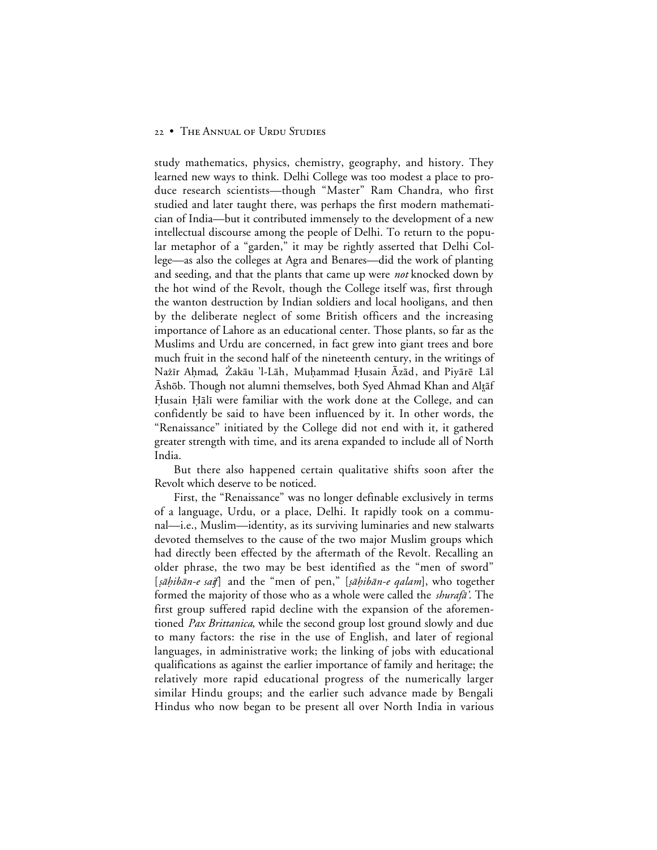study mathematics, physics, chemistry, geography, and history. They learned new ways to think. Delhi College was too modest a place to produce research scientists—though "Master" Ram Chandra, who first studied and later taught there, was perhaps the first modern mathematician of India—but it contributed immensely to the development of a new intellectual discourse among the people of Delhi. To return to the popular metaphor of a "garden," it may be rightly asserted that Delhi College—as also the colleges at Agra and Benares—did the work of planting and seeding, and that the plants that came up were *not* knocked down by the hot wind of the Revolt, though the College itself was, first through the wanton destruction by Indian soldiers and local hooligans, and then by the deliberate neglect of some British officers and the increasing importance of Lahore as an educational center. Those plants, so far as the Muslims and Urdu are concerned, in fact grew into giant trees and bore much fruit in the second half of the nineteenth century, in the writings of Nażīr Aḥmad, Żakāu 'l-Lāh, Muḥammad Ḥusain Azād, and Piyārē Lāl Āshōb. Though not alumni themselves, both Syed Ahmad Khan and Altāf Husain Hālī were familiar with the work done at the College, and can confidently be said to have been influenced by it. In other words, the "Renaissance" initiated by the College did not end with it, it gathered greater strength with time, and its arena expanded to include all of North India.

But there also happened certain qualitative shifts soon after the Revolt which deserve to be noticed.

First, the "Renaissance" was no longer definable exclusively in terms of a language, Urdu, or a place, Delhi. It rapidly took on a communal—i.e., Muslim—identity, as its surviving luminaries and new stalwarts devoted themselves to the cause of the two major Muslim groups which had directly been effected by the aftermath of the Revolt. Recalling an older phrase, the two may be best identified as the "men of sword" [sāhibān-e saif] and the "men of pen," [sāhibān-e qalam], who together formed the majority of those who as a whole were called the *shurafa*'. The first group suffered rapid decline with the expansion of the aforementioned *Pax Brittanica*, while the second group lost ground slowly and due to many factors: the rise in the use of English, and later of regional languages, in administrative work; the linking of jobs with educational qualifications as against the earlier importance of family and heritage; the relatively more rapid educational progress of the numerically larger similar Hindu groups; and the earlier such advance made by Bengali Hindus who now began to be present all over North India in various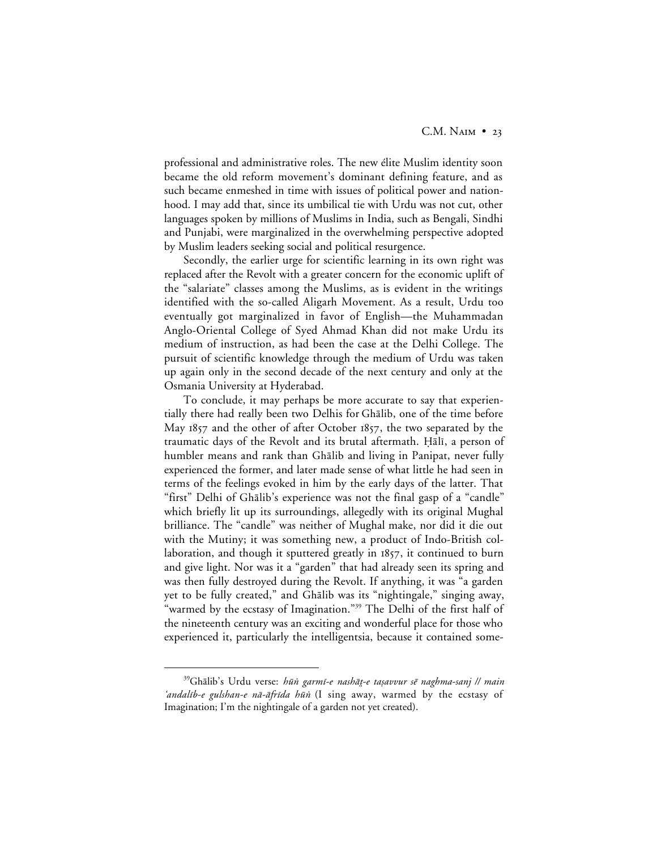professional and administrative roles. The new élite Muslim identity soon became the old reform movement's dominant defining feature, and as such became enmeshed in time with issues of political power and nationhood. I may add that, since its umbilical tie with Urdu was not cut, other languages spoken by millions of Muslims in India, such as Bengali, Sindhi and Punjabi, were marginalized in the overwhelming perspective adopted by Muslim leaders seeking social and political resurgence.

Secondly, the earlier urge for scientific learning in its own right was replaced after the Revolt with a greater concern for the economic uplift of the "salariate" classes among the Muslims, as is evident in the writings identified with the so-called Aligarh Movement. As a result, Urdu too eventually got marginalized in favor of English—the Muhammadan Anglo-Oriental College of Syed Ahmad Khan did not make Urdu its medium of instruction, as had been the case at the Delhi College. The pursuit of scientific knowledge through the medium of Urdu was taken up again only in the second decade of the next century and only at the Osmania University at Hyderabad.

To conclude, it may perhaps be more accurate to say that experientially there had really been two Delhis for Ghalib, one of the time before May  $1857$  and the other of after October  $1857$ , the two separated by the traumatic days of the Revolt and its brutal aftermath. Hālī, a person of humbler means and rank than Ghālib and living in Panipat, never fully experienced the former, and later made sense of what little he had seen in terms of the feelings evoked in him by the early days of the latter. That "first" Delhi of Ghālib's experience was not the final gasp of a "candle" which briefly lit up its surroundings, allegedly with its original Mughal brilliance. The "candle" was neither of Mughal make, nor did it die out with the Mutiny; it was something new, a product of Indo-British collaboration, and though it sputtered greatly in 1857, it continued to burn and give light. Nor was it a "garden" that had already seen its spring and was then fully destroyed during the Revolt. If anything, it was "a garden yet to be fully created," and Ghalib was its "nightingale," singing away, "warmed by the ecstasy of Imagination."<sup>39</sup> The Delhi of the first half of the nineteenth century was an exciting and wonderful place for those who experienced it, particularly the intelligentsia, because it contained some-

<sup>&</sup>lt;sup>39</sup>Ghālib's Urdu verse: hūn garmī-e nashāṭ-e taṣavvur sē naghma-sanj // main 'andalib-e gulshan-e nā-āfrīda hūn (I sing away, warmed by the ecstasy of Imagination; I'm the nightingale of a garden not yet created).